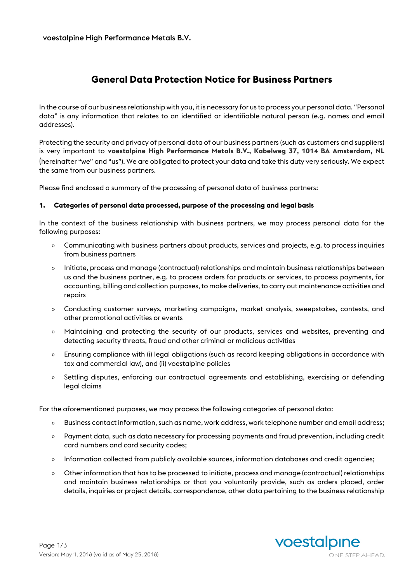# **General Data Protection Notice for Business Partners**

In the course of our business relationship with you, it is necessary for us to process your personal data. "Personal data" is any information that relates to an identified or identifiable natural person (e.g. names and email addresses).

Protecting the security and privacy of personal data of our business partners (such as customers and suppliers) is very important to **voestalpine High Performance Metals B.V., Kabelweg 37, 1014 BA Amsterdam, NL** (hereinafter "we" and "us"). We are obligated to protect your data and take this duty very seriously. We expect the same from our business partners.

Please find enclosed a summary of the processing of personal data of business partners:

### **1. Categories of personal data processed, purpose of the processing and legal basis**

In the context of the business relationship with business partners, we may process personal data for the following purposes:

- » Communicating with business partners about products, services and projects, e.g. to process inquiries from business partners
- » Initiate, process and manage (contractual) relationships and maintain business relationships between us and the business partner, e.g. to process orders for products or services, to process payments, for accounting, billing and collection purposes, to make deliveries, to carry out maintenance activities and repairs
- » Conducting customer surveys, marketing campaigns, market analysis, sweepstakes, contests, and other promotional activities or events
- » Maintaining and protecting the security of our products, services and websites, preventing and detecting security threats, fraud and other criminal or malicious activities
- » Ensuring compliance with (i) legal obligations (such as record keeping obligations in accordance with tax and commercial law), and (ii) voestalpine policies
- » Settling disputes, enforcing our contractual agreements and establishing, exercising or defending legal claims

For the aforementioned purposes, we may process the following categories of personal data:

- » Business contact information, such as name, work address, work telephone number and email address;
- » Payment data, such as data necessary for processing payments and fraud prevention, including credit card numbers and card security codes;
- » Information collected from publicly available sources, information databases and credit agencies;
- » Other information that has to be processed to initiate, process and manage (contractual) relationships and maintain business relationships or that you voluntarily provide, such as orders placed, order details, inquiries or project details, correspondence, other data pertaining to the business relationship

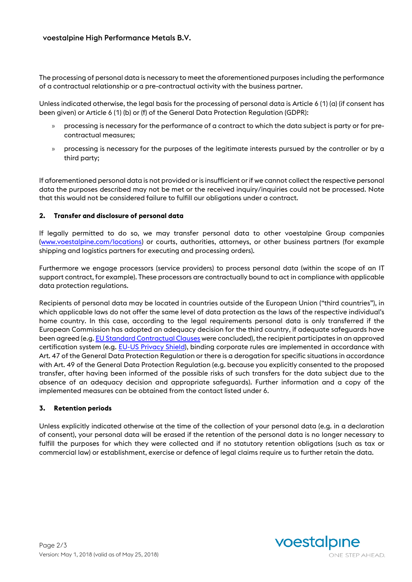The processing of personal data is necessary to meet the aforementioned purposes including the performance of a contractual relationship or a pre-contractual activity with the business partner.

Unless indicated otherwise, the legal basis for the processing of personal data is Article 6 (1) (a) (if consent has been given) or Article 6 (1) (b) or (f) of the General Data Protection Regulation (GDPR):

- » processing is necessary for the performance of a contract to which the data subject is party or for precontractual measures;
- » processing is necessary for the purposes of the legitimate interests pursued by the controller or by a third party;

If aforementioned personal data is not provided or is insufficient or if we cannot collect the respective personal data the purposes described may not be met or the received inquiry/inquiries could not be processed. Note that this would not be considered failure to fulfill our obligations under a contract.

### **2. Transfer and disclosure of personal data**

If legally permitted to do so, we may transfer personal data to other voestalpine Group companies [\(www.voestalpine.com/locations\)](http://www.voestalpine.com/locations) or courts, authorities, attorneys, or other business partners (for example shipping and logistics partners for executing and processing orders).

Furthermore we engage processors (service providers) to process personal data (within the scope of an IT support contract, for example). These processors are contractually bound to act in compliance with applicable data protection regulations.

Recipients of personal data may be located in countries outside of the European Union ("third countries"), in which applicable laws do not offer the same level of data protection as the laws of the respective individual's home country. In this case, according to the legal requirements personal data is only transferred if the European Commission has adopted an adequacy decision for the third country, if adequate safeguards have been agreed (e.g[. EU Standard Contractual Clauses](https://ec.europa.eu/info/law/law-topic/data-protection/data-transfers-outside-eu/model-contracts-transfer-personal-data-third-countries_en) were concluded), the recipient participates in an approved certification system (e.g. [EU-US Privacy Shield\),](https://www.privacyshield.gov/welcome) binding corporate rules are implemented in accordance with Art. 47 of the General Data Protection Regulation or there is a derogation for specific situations in accordance with Art. 49 of the General Data Protection Regulation (e.g. because you explicitly consented to the proposed transfer, after having been informed of the possible risks of such transfers for the data subject due to the absence of an adequacy decision and appropriate safeguards). Further information and a copy of the implemented measures can be obtained from the contact listed under 6.

### **3. Retention periods**

Unless explicitly indicated otherwise at the time of the collection of your personal data (e.g. in a declaration of consent), your personal data will be erased if the retention of the personal data is no longer necessary to fulfill the purposes for which they were collected and if no statutory retention obligations (such as tax or commercial law) or establishment, exercise or defence of legal claims require us to further retain the data.